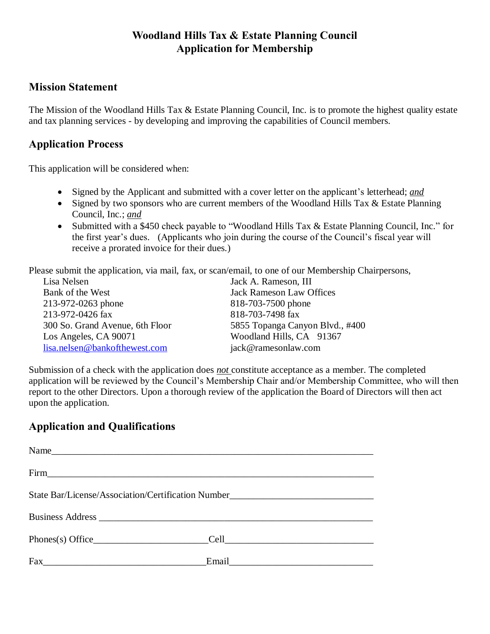# **Woodland Hills Tax & Estate Planning Council Application for Membership**

#### **Mission Statement**

The Mission of the Woodland Hills Tax & Estate Planning Council, Inc. is to promote the highest quality estate and tax planning services - by developing and improving the capabilities of Council members.

## **Application Process**

This application will be considered when:

- Signed by the Applicant and submitted with a cover letter on the applicant's letterhead; *and*
- Signed by two sponsors who are current members of the Woodland Hills Tax & Estate Planning Council, Inc.; *and*
- Submitted with a \$450 check payable to "Woodland Hills Tax & Estate Planning Council, Inc." for the first year's dues. (Applicants who join during the course of the Council's fiscal year will receive a prorated invoice for their dues.)

Please submit the application, via mail, fax, or scan/email, to one of our Membership Chairpersons,

| Lisa Nelsen                                         | Jack A. Rameson, III            |  |
|-----------------------------------------------------|---------------------------------|--|
| <b>Jack Rameson Law Offices</b><br>Bank of the West |                                 |  |
| 213-972-0263 phone                                  | 818-703-7500 phone              |  |
| 213-972-0426 fax                                    | 818-703-7498 fax                |  |
| 300 So. Grand Avenue, 6th Floor                     | 5855 Topanga Canyon Blvd., #400 |  |
| Los Angeles, CA 90071                               | Woodland Hills, CA 91367        |  |
| lisa.nelsen@bankofthewest.com                       | jack@ramesonlaw.com             |  |

Submission of a check with the application does *not* constitute acceptance as a member. The completed application will be reviewed by the Council's Membership Chair and/or Membership Committee, who will then report to the other Directors. Upon a thorough review of the application the Board of Directors will then act upon the application.

# **Application and Qualifications**

| Firm Firm                                                                        |                                                                                                                |  |
|----------------------------------------------------------------------------------|----------------------------------------------------------------------------------------------------------------|--|
| State Bar/License/Association/Certification Number______________________________ |                                                                                                                |  |
|                                                                                  |                                                                                                                |  |
|                                                                                  |                                                                                                                |  |
| $\text{Fax}_{-}$                                                                 | Email 2008 - 2008 - 2010 - 2010 - 2010 - 2010 - 2010 - 2010 - 2010 - 2010 - 2010 - 2010 - 2010 - 2010 - 2010 - |  |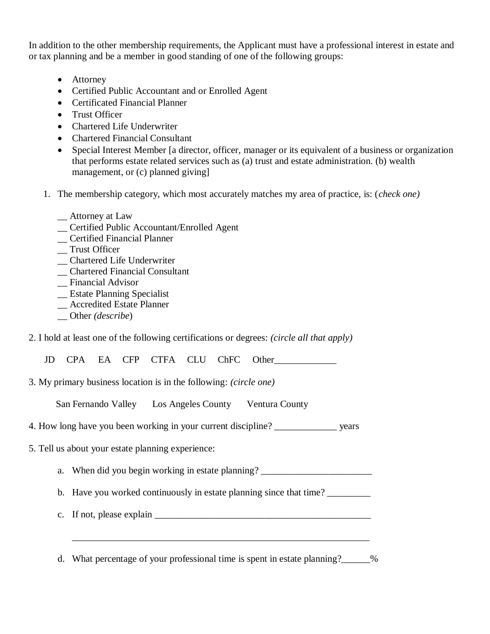In addition to the other membership requirements, the Applicant must have a professional interest in estate and or tax planning and be a member in good standing of one of the following groups:

- Attorney
- Certified Public Accountant and or Enrolled Agent
- Certificated Financial Planner
- Trust Officer
- Chartered Life Underwriter
- Chartered Financial Consultant
- Special Interest Member [a director, officer, manager or its equivalent of a business or organization that performs estate related services such as (a) trust and estate administration. (b) wealth management, or (c) planned giving]
- 1. The membership category, which most accurately matches my area of practice, is: (*check one)*
	- \_\_ Attorney at Law
	- \_\_ Certified Public Accountant/Enrolled Agent
	- \_\_ Certified Financial Planner
	- \_\_ Trust Officer
	- \_\_ Chartered Life Underwriter
	- \_\_ Chartered Financial Consultant
	- \_\_ Financial Advisor
	- \_\_ Estate Planning Specialist
	- \_\_ Accredited Estate Planner
	- \_\_ Other *(describe*)
- 2. I hold at least one of the following certifications or degrees: *(circle all that apply)*

JD CPA EA CFP CTFA CLU ChFC Other\_\_\_\_\_\_\_\_\_\_\_\_\_

3. My primary business location is in the following: *(circle one)*

San Fernando Valley Los Angeles County Ventura County

- 4. How long have you been working in your current discipline? \_\_\_\_\_\_\_\_\_\_\_\_\_ years
- 5. Tell us about your estate planning experience:
	- a. When did you begin working in estate planning? \_\_\_\_\_\_\_\_\_\_\_\_\_\_\_\_\_\_\_\_\_\_\_\_\_\_\_\_\_\_

b. Have you worked continuously in estate planning since that time?

c. If not, please explain  $\Box$ 

d. What percentage of your professional time is spent in estate planning?\_\_\_\_\_\_%

\_\_\_\_\_\_\_\_\_\_\_\_\_\_\_\_\_\_\_\_\_\_\_\_\_\_\_\_\_\_\_\_\_\_\_\_\_\_\_\_\_\_\_\_\_\_\_\_\_\_\_\_\_\_\_\_\_\_\_\_\_\_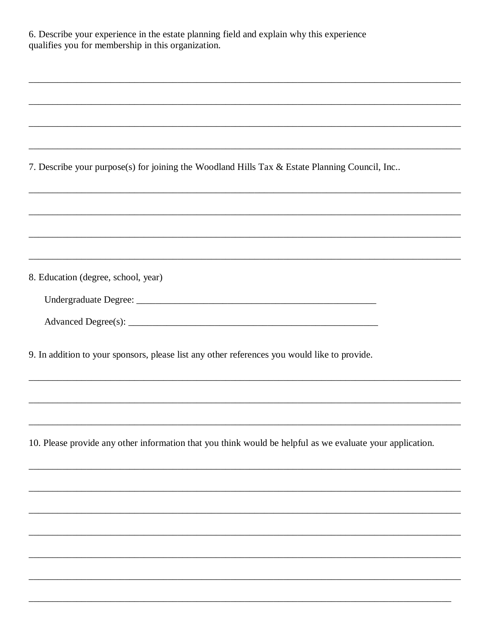| 6. Describe your experience in the estate planning field and explain why this experience<br>qualifies you for membership in this organization.                                    |  |  |
|-----------------------------------------------------------------------------------------------------------------------------------------------------------------------------------|--|--|
|                                                                                                                                                                                   |  |  |
|                                                                                                                                                                                   |  |  |
|                                                                                                                                                                                   |  |  |
|                                                                                                                                                                                   |  |  |
| 7. Describe your purpose(s) for joining the Woodland Hills Tax & Estate Planning Council, Inc<br>,我们也不会有什么。""我们的人,我们也不会有什么?""我们的人,我们也不会有什么?""我们的人,我们也不会有什么?""我们的人,我们也不会有什么?""我们的人 |  |  |
|                                                                                                                                                                                   |  |  |
|                                                                                                                                                                                   |  |  |
|                                                                                                                                                                                   |  |  |
| 8. Education (degree, school, year)                                                                                                                                               |  |  |
|                                                                                                                                                                                   |  |  |
|                                                                                                                                                                                   |  |  |
| 9. In addition to your sponsors, please list any other references you would like to provide.                                                                                      |  |  |
|                                                                                                                                                                                   |  |  |
|                                                                                                                                                                                   |  |  |
| 10. Please provide any other information that you think would be helpful as we evaluate your application.                                                                         |  |  |
|                                                                                                                                                                                   |  |  |
|                                                                                                                                                                                   |  |  |
|                                                                                                                                                                                   |  |  |
|                                                                                                                                                                                   |  |  |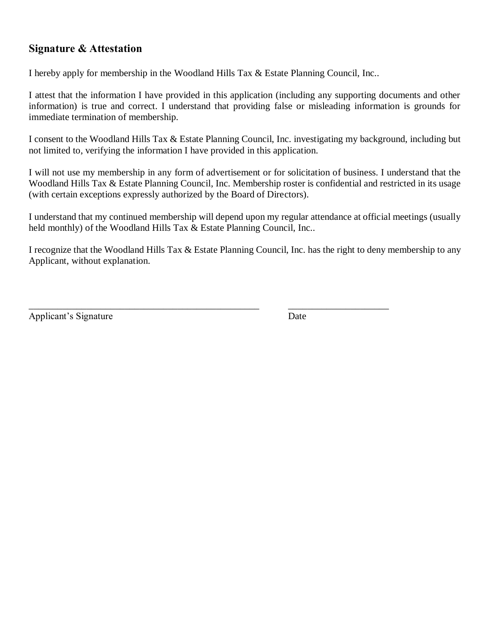### **Signature & Attestation**

I hereby apply for membership in the Woodland Hills Tax & Estate Planning Council, Inc..

I attest that the information I have provided in this application (including any supporting documents and other information) is true and correct. I understand that providing false or misleading information is grounds for immediate termination of membership.

I consent to the Woodland Hills Tax & Estate Planning Council, Inc. investigating my background, including but not limited to, verifying the information I have provided in this application.

I will not use my membership in any form of advertisement or for solicitation of business. I understand that the Woodland Hills Tax & Estate Planning Council, Inc. Membership roster is confidential and restricted in its usage (with certain exceptions expressly authorized by the Board of Directors).

I understand that my continued membership will depend upon my regular attendance at official meetings (usually held monthly) of the Woodland Hills Tax & Estate Planning Council, Inc..

I recognize that the Woodland Hills Tax & Estate Planning Council, Inc. has the right to deny membership to any Applicant, without explanation.

\_\_\_\_\_\_\_\_\_\_\_\_\_\_\_\_\_\_\_\_\_\_\_\_\_\_\_\_\_\_\_\_\_\_\_\_\_\_\_\_\_\_\_\_\_\_\_\_ \_\_\_\_\_\_\_\_\_\_\_\_\_\_\_\_\_\_\_\_\_

Applicant's Signature Date